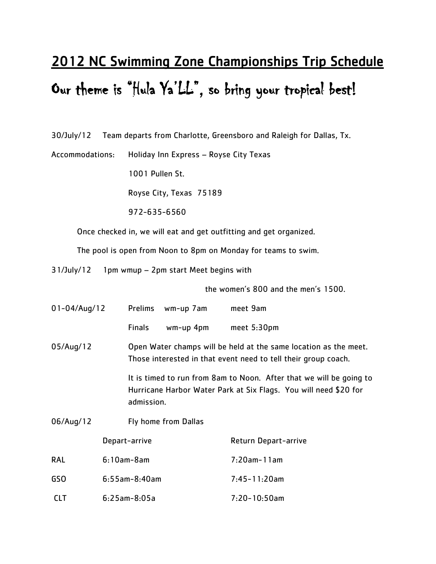## 2012 NC Swimming Zone Championships Trip Schedule Our theme is "Hula Ya'LL", so bring your tropical best!

30/July/12 Team departs from Charlotte, Greensboro and Raleigh for Dallas, Tx.

Accommodations: Holiday Inn Express – Royse City Texas

1001 Pullen St.

Royse City, Texas 75189

972-635-6560

Once checked in, we will eat and get outfitting and get organized.

The pool is open from Noon to 8pm on Monday for teams to swim.

31/July/12 1pm wmup – 2pm start Meet begins with

the women's 800 and the men's 1500.

| $01 - 04/Auq/12$ |                  | <b>Prelims</b>                                                                                                                     | wm-up 7am            | meet 9am                                                                                                                                |
|------------------|------------------|------------------------------------------------------------------------------------------------------------------------------------|----------------------|-----------------------------------------------------------------------------------------------------------------------------------------|
|                  |                  | <b>Finals</b>                                                                                                                      | wm-up 4pm            | meet $5:30$ pm                                                                                                                          |
| 05/Aug/12        |                  | Open Water champs will be held at the same location as the meet.<br>Those interested in that event need to tell their group coach. |                      |                                                                                                                                         |
|                  |                  | admission.                                                                                                                         |                      | It is timed to run from 8am to Noon. After that we will be going to<br>Hurricane Harbor Water Park at Six Flags. You will need \$20 for |
| 06/Aug/12        |                  |                                                                                                                                    | Fly home from Dallas |                                                                                                                                         |
|                  |                  | Depart-arrive                                                                                                                      |                      | Return Depart-arrive                                                                                                                    |
| <b>RAL</b>       | $6:10am-8am$     |                                                                                                                                    |                      | $7:20$ am-11am                                                                                                                          |
| GSO              | $6:55$ am-8:40am |                                                                                                                                    |                      | $7:45 - 11:20$ am                                                                                                                       |
| <b>CLT</b>       | $6:25am-8:05a$   |                                                                                                                                    |                      | $7:20 - 10:50$ am                                                                                                                       |